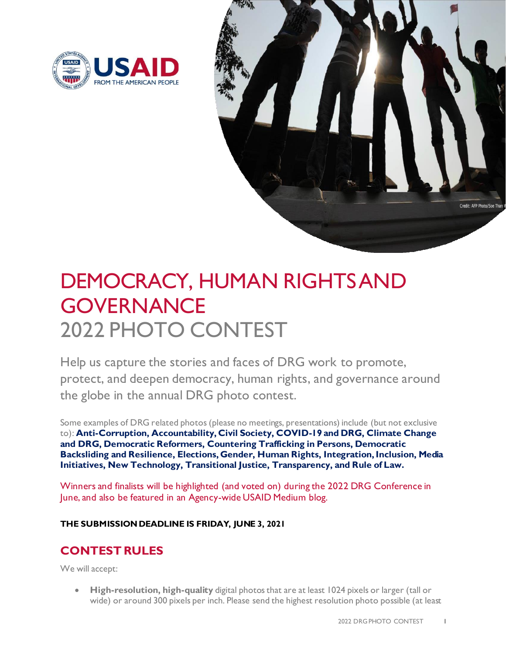



# DEMOCRACY, HUMAN RIGHTSAND **GOVERNANCE** 2022 PHOTO CONTEST

Help us capture the stories and faces of DRG work to promote, protect, and deepen democracy, human rights, and governance around the globe in the annual DRG photo contest.

Some examples of DRG related photos (please no meetings, presentations) include (but not exclusive to): **Anti-Corruption, Accountability, Civil Society, COVID-19 and DRG, Climate Change and DRG, Democratic Reformers, Countering Trafficking in Persons, Democratic Backsliding and Resilience, Elections, Gender, Human Rights, Integration, Inclusion, Media Initiatives, New Technology, Transitional Justice, Transparency, and Rule of Law.**

Winners and finalists will be highlighted (and voted on) during the 2022 DRG Conference in June, and also be featured in an Agency-wide USAID Medium blog.

#### **THE SUBMISSION DEADLINE IS FRIDAY, JUNE 3, 2021**

### **CONTEST RULES**

We will accept:

• **High-resolution, high-quality** digital photos that are at least 1024 pixels or larger (tall or wide) or around 300 pixels per inch. Please send the highest resolution photo possible (at least